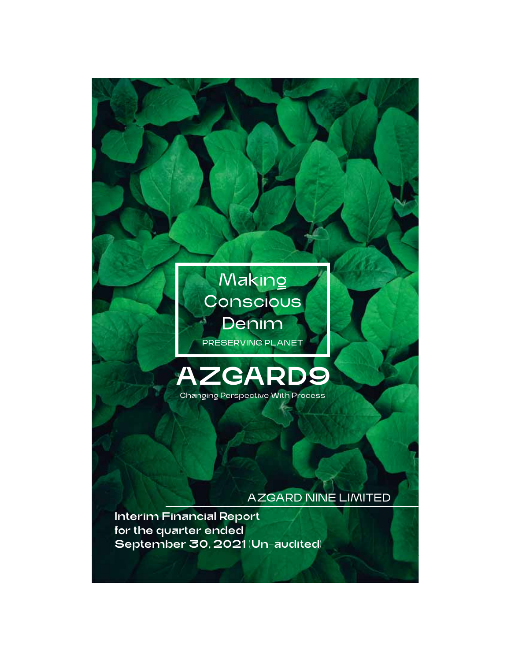

# AZGARD NINE LIMITED

Interim Financial Report for the quarter ended September 30, 2021 (Un-audited)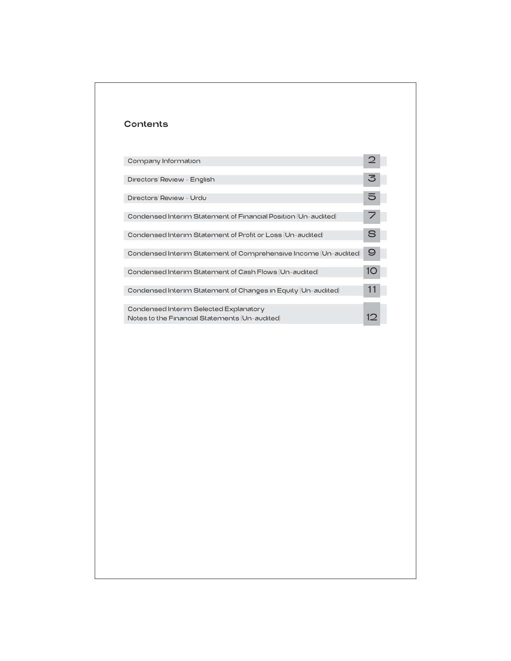| Contents                                                                                 |    |
|------------------------------------------------------------------------------------------|----|
|                                                                                          |    |
| Company Information                                                                      |    |
| Directors' Review - English                                                              |    |
| Directors' Review - Urdu                                                                 |    |
| Condensed Interim Statement of Financial Position (Un-audited)                           |    |
| Condensed Interim Statement of Profit or Loss (Un-audited)                               |    |
| Condensed Interim Statement of Comprehensive Income (Un-audited)                         | 9  |
| Condensed Interim Statement of Cash Flows (Un-audited)                                   | 1C |
| Condensed Interim Statement of Changes in Equity (Un-audited)                            | 11 |
| Condensed Interim Selected Explanatory<br>Notes to the Financial Statements (Un-audited) | 12 |
|                                                                                          |    |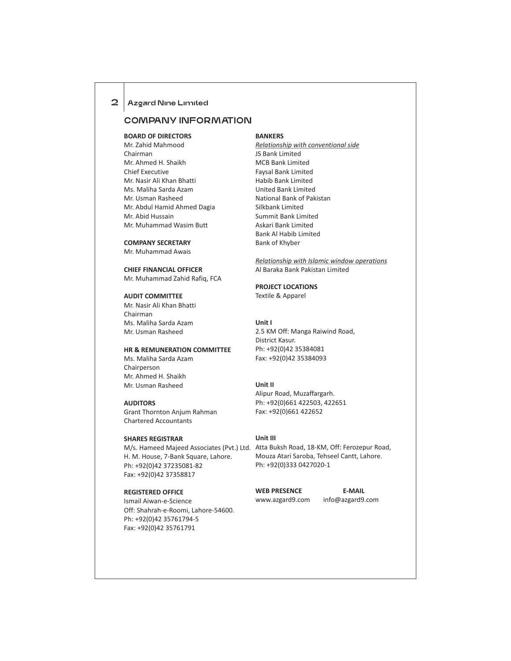## 2 | Azgard Nine Limited

## COMPANY INFORMATION

**BOARD OF DIRECTORS** Mr. Zahid Mahmood Chairman Mr. Ahmed H. Shaikh Chief Executive Mr. Nasir Ali Khan Bhatti Ms. Maliha Sarda Azam Mr. Usman Rasheed Mr. Abdul Hamid Ahmed Dagia Mr. Abid Hussain Mr. Muhammad Wasim Butt

#### **COMPANY SECRETARY**

Mr. Muhammad Awais

## **CHIEF FINANCIAL OFFICER**

Mr. Muhammad Zahid Rafiq, FCA

## **AUDIT COMMITTEE**

Mr. Nasir Ali Khan Bhatti Chairman Ms. Maliha Sarda Azam Mr. Usman Rasheed

#### **HR & REMUNERATION COMMITTEE**

Ms. Maliha Sarda Azam Chairperson Mr. Ahmed H. Shaikh Mr. Usman Rasheed

#### **AUDITORS**

Grant Thornton Anjum Rahman Chartered Accountants

## **SHARES REGISTRAR**

H. M. House, 7-Bank Square, Lahore. Ph: +92(0)42 37235081-82 Fax: +92(0)42 37358817

## **REGISTERED OFFICE**

Ismail Aiwan-e-Science Off: Shahrah-e-Roomi, Lahore-54600. Ph: +92(0)42 35761794-5 Fax: +92(0)42 35761791

#### **BANKERS**

*Relationship with conventional side* JS Bank Limited MCB Bank Limited Faysal Bank Limited Habib Bank Limited United Bank Limited National Bank of Pakistan Silkbank Limited Summit Bank Limited Askari Bank Limited Bank Al Habib Limited Bank of Khyber

*Relationship with Islamic window operations* Al Baraka Bank Pakistan Limited

## **PROJECT LOCATIONS**

Textile & Apparel

#### **Unit I**

2.5 KM Off: Manga Raiwind Road, District Kasur. Ph: +92(0)42 35384081 Fax: +92(0)42 35384093

#### **Unit II**

Alipur Road, Muzaffargarh. Ph: +92(0)661 422503, 422651 Fax: +92(0)661 422652

#### **Unit III**

M/s. Hameed Majeed Associates (Pvt.) Ltd. Atta Buksh Road, 18-KM, Off: Ferozepur Road, Mouza Atari Saroba, Tehseel Cantt, Lahore. Ph: +92(0)333 0427020-1

WEB PRESENCE **E-MAIL** 

www.azgard9.com info@azgard9.com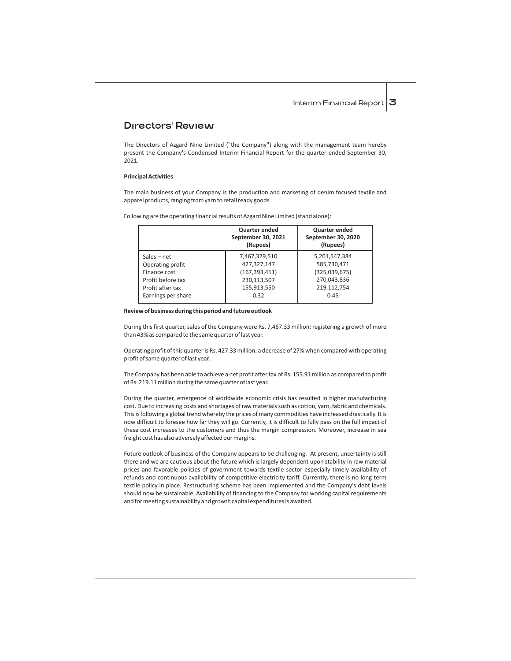0.45

## Directors' Review

The Directors of Azgard Nine Limited ("the Company") along with the management team hereby present the Company's Condensed Interim Financial Report for the quarter ended September 30, 2021.

#### **Principal Activities**

The main business of your Company is the production and marketing of denim focused textile and apparel products, ranging from yarn to retail ready goods.

|                   | <b>Quarter ended</b><br>September 30, 2021<br>(Rupees) | Quarter ended<br>September 30, 2020<br>(Rupees) |
|-------------------|--------------------------------------------------------|-------------------------------------------------|
| Sales – net       | 7,467,329,510                                          | 5,201,547,384                                   |
| Operating profit  | 427.327.147                                            | 585,730,471                                     |
| Finance cost      | (167, 393, 411)                                        | (325,039,675)                                   |
| Profit before tax | 230,113,507                                            | 270,043,836                                     |
| Profit after tay  | 155 913 550                                            | 219 112 754                                     |

Following are the operating financial results of Azgard Nine Limited (stand alone):

#### **Review of business during this period and future outlook**

Earnings per share

During this first quarter, sales of the Company were Rs. 7,467.33 million; registering a growth of more than 43% as compared to the same quarter of last year.

0.32

Operating profit of this quarter is Rs. 427.33 million; a decrease of 27% when compared with operating profit of same quarter of last year.

The Company has been able to achieve a net profit after tax of Rs. 155.91 million as compared to profit of Rs. 219.11 million during the same quarter of last year.

During the quarter, emergence of worldwide economic crisis has resulted in higher manufacturing cost. Due to increasing costs and shortages of raw materials such as cotton, yarn, fabric and chemicals. This is following a global trend whereby the prices of many commodities have increased drastically. It is now difficult to foresee how far they will go. Currently, it is difficult to fully pass on the full impact of these cost increases to the customers and thus the margin compression. Moreover, increase in sea freight cost has also adversely affected our margins.

Future outlook of business of the Company appears to be challenging. At present, uncertainty is still there and we are cautious about the future which is largely dependent upon stability in raw material prices and favorable policies of government towards textile sector especially timely availability of refunds and continuous availability of competitive electricity tariff. Currently, there is no long term textile policy in place. Restructuring scheme has been implemented and the Company's debt levels should now be sustainable. Availability of financing to the Company for working capital requirements and for meeting sustainability and growth capital expenditures is awaited.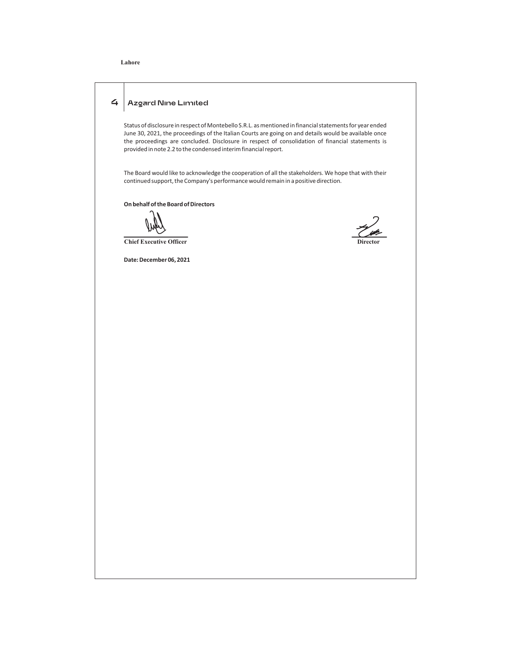## **Lahore**

## 4 | Azgard Nine Limited

Status of disclosure in respect of Montebello S.R.L. as mentioned in financial statements for year ended June 30, 2021, the proceedings of the Italian Courts are going on and details would be available once the proceedings are concluded. Disclosure in respect of consolidation of financial statements is provided in note 2.2 to the condensed interim financial report.

The Board would like to acknowledge the cooperation of all the stakeholders. We hope that with their continued support, the Company's performance would remain in a positive direction.

**On behalf of the Board of Directors**

**Chief Executive Officer** 

**Date: December 06, 2021**

 $\mathscr{L}_{\mathscr{A}}$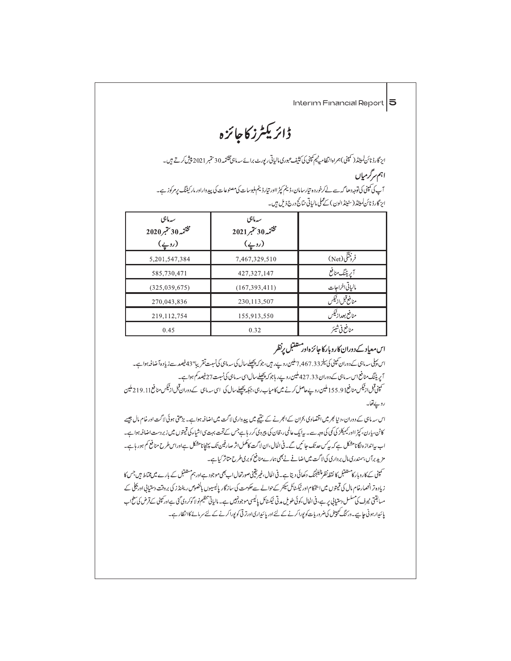ڈائریکٹرز کاجائزہ

ایز گارڈ نائن لمیٹٹر( کمپنی)ہمراہ انتظامیٹیم کمپنی کی کنٹیف عبوری مالیاتی ریورٹ برائے سہ ماہی مختتمہ 30 ستمبر 2021 میٹی کرتے ہیں۔ اہم سرگرمیاں آپ کی تمپنی کی توجہ دھا گہ سے لےکرخورد ہ تیارسامان،ڈینم کپڑ ااور تیارڈینم ملبوسات کی مصنوعات کی پیدواراور مارکیٹنگ پرمرکوز ہے۔ ایز گارڈ نائن لمیٹڈ (سٹینڈ الون ) کے عملی مالیاتی متائج درج ذیل ہیں۔

| سەمائىي<br>مختمه 30 سمبر<br>مختمه 30 سمبر 2020<br>$(\underline{\cdot})$ | سەمائىي<br>مختمه 30 سمبر 2021<br>(روپے) |                   |
|-------------------------------------------------------------------------|-----------------------------------------|-------------------|
| 5,201,547,384                                                           | 7,467,329,510                           | فرونتگی(Net)      |
| 585,730,471                                                             | 427, 327, 147                           | آپریٹنگ منافع     |
| (325,039,675)                                                           | (167, 393, 411)                         | مالبإتي اخراجات   |
| 270,043,836                                                             | 230, 113, 507                           | منافع قبل از ٹیکس |
| 219, 112, 754                                                           | 155,913,550                             | منافع بعداز ثيكس  |
| 0.45                                                                    | 0.32                                    | منافع في شيئر     |

# اس معیاد کے دوران کاروبار کا جائز ہ اور مستقبل پرنظر

اس پہلی۔ ماہی کےدوران کمپنی کی سپر 7,467.33 ملین روپے رہیں، جو کہ پچھلے سال کی سہ ماہی کی نسبت تقریبا" 43 فیصد سے زیادہ آ ضافہ ہوا ہے۔ آپریٹنگ منافع اس سہ ماہی کے دوران 427.33 ملین روپے ر ہاجو کہ پچھلے سال اسی سہ ماہی کی نسبت 27 فیصد کم ہوا ہے۔ ۔<br>سمپنی قبل ارنیکس منافع155.91ملین روپےحاصل کرنے میں کامیاب رہی، جبکہ پچھلےسال کی اسی سدماہی کے دوران قبل ازنیکس منافع19.11.21ملین

رويےقفا۔

اس سہ ماہی کے دوران، دنیا بھر میں اقتصادی بحران کے ابھرنے کے نتیجے میں پیدِ داری لاگت میں اضافہ ہواہے۔ بڑھتی ہوئی لاگت اور خام مال چیسے کاٹن، پارن، کپڑ ااور ٹیمیکٹز کی کمی اوجہ سے۔ بیا یک عالمی، دمحان کی پیروٹی کر رہاہےجس کے تحت بہت پی اشیاء کی قیمتوں میں زبر دست اضافہ ہوا ہے۔ اب پیانداز ہ لگانامشکل ہے کہ پیکس حد تک جا ئیں گے۔فی الحال،ان لاگت کامکمل اثر صارفین تک پہنچانامشکل ہےاوراس طرح منافع کم ہور ہاہے۔ مزید برآں، سمندری مال بر داری کی لاگت میں اضافے نے بھی ہمارے منافع کو بری طرح متاثر کیا ہے۔

۔<br>سمپنی کے کاروبار کامشنقبل کا نقط نقل چیلجنگ دکھائی دیتا ہے۔ فی الحال،غیریقینی صورتحال اب بھی موجود ہے اور ہم ستنقبل کے بارے میں محتاط میں جس کا زیادہ تر انھمارخام مال کی قیمتوں میں اینچکام اور ٹیکسٹائل سکٹر کے حوالے سےحکومت کی سازگار پالیسیوں بالخصوص ریفنڈ ز کی بروقت دستیابی اور بجلی کے مىياقتى نيرف كى مىلىل دىتيايى پر ہے، فى الحال،كوئى طويل مدتى ٹيكسٹائل پاليسى موجودنبيں ہے۔ مالياتى تنظيم نو لا گوكر دى گئى ہےاوركمپنى كے قرض كى سطحاب پائیدارہونی جاہیے۔ورکنگ کیپیٹل کی ضرور پات کو پوراکرنے کے لئے اور پائیداری اورتر تی کو پوراکرنے کے لئے سرمائے کاانتظار ہے۔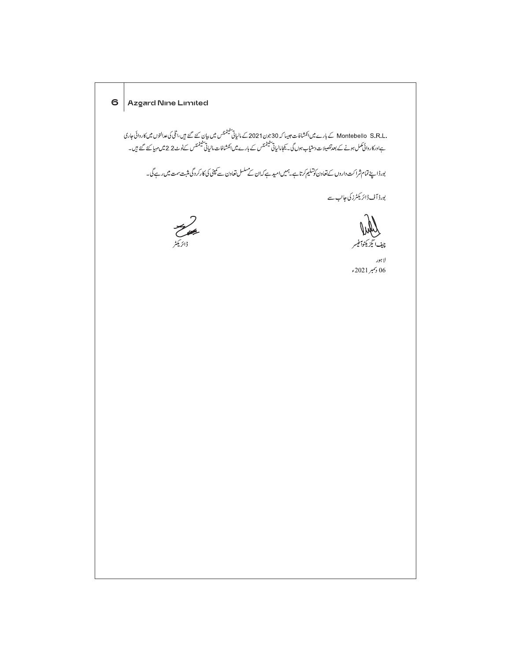6 Azgard Nine Limited .Montebello S.R.L کے بارے میں انکشافات جیسا کہ 30 جون 2021 کے مالیاتی سیٹمنٹس میں بیان کئے گئے ہیں،اٹلی کی عدالتوں میں کاروائی جاری<br>ہےاور کاروائی بمکس ہونے کے بعدتفصیلات دستیاب ہوں گی۔ یجامالیاتی سیٹمنٹس کے بارے میں انکشا بورڈ اپنے تمام شراکت داروں کے تعاون کوتسلیم کرتا ہے۔ہمیں امید ہے کہ ان کے سلسل تعاون سے کمپنی کی کارکر دگی مثبت ست میں رہے گی۔ بورڈ آفڈائر یکٹرز کی جانب سے المستعمل<br>ڈائریکٹر چيف ايگزيکڻوآفيسر لاہور  $\epsilon$ 2021 $\gamma$ رسمبر 2021ء  $\epsilon$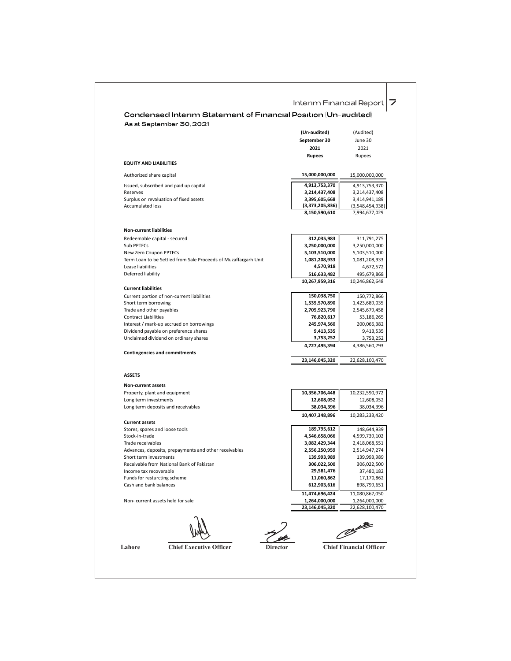|                                                                                      | (Un-audited)                   |                                |
|--------------------------------------------------------------------------------------|--------------------------------|--------------------------------|
|                                                                                      |                                | (Audited)                      |
|                                                                                      | September 30                   | June 30                        |
|                                                                                      | 2021                           | 2021                           |
|                                                                                      | <b>Rupees</b>                  | Rupees                         |
| <b>EQUITY AND LIABILITIES</b>                                                        |                                |                                |
| Authorized share capital                                                             | 15,000,000,000                 | 15,000,000,000                 |
|                                                                                      |                                |                                |
| Issued, subscribed and paid up capital<br>Reserves                                   | 4,913,753,370<br>3,214,437,408 | 4,913,753,370<br>3,214,437,408 |
| Surplus on revaluation of fixed assets                                               | 3,395,605,668                  | 3,414,941,189                  |
| <b>Accumulated loss</b>                                                              | (3,373,205,836)                | (3,548,454,938)                |
|                                                                                      | 8,150,590,610                  | 7,994,677,029                  |
|                                                                                      |                                |                                |
| <b>Non-current liabilities</b>                                                       |                                |                                |
| Redeemable capital - secured                                                         | 312,035,983                    | 311,791,275                    |
| Sub PPTFCs                                                                           | 3,250,000,000                  | 3,250,000,000                  |
| New Zero Coupon PPTFCs                                                               | 5,103,510,000<br>1,081,208,933 | 5,103,510,000                  |
| Term Loan to be Settled from Sale Proceeds of Muzaffargarh Unit<br>Lease liabilities | 4,570,918                      | 1,081,208,933<br>4,672,572     |
| Deferred liability                                                                   | 516,633,482                    | 495,679,868                    |
|                                                                                      | 10,267,959,316                 | 10,246,862,648                 |
| <b>Current liabilities</b>                                                           |                                |                                |
| Current portion of non-current liabilities                                           | 150,038,750                    | 150,772,866                    |
| Short term borrowing                                                                 | 1,535,570,890                  | 1,423,689,035                  |
| Trade and other payables                                                             | 2,705,923,790                  | 2,545,679,458                  |
| <b>Contract Liabilities</b>                                                          | 76,820,617                     | 53,186,265                     |
| Interest / mark-up accrued on borrowings                                             | 245,974,560                    | 200,066,382                    |
| Dividend payable on preference shares                                                | 9,413,535                      | 9,413,535                      |
| Unclaimed dividend on ordinary shares                                                | 3,753,252                      | 3,753,252                      |
| <b>Contingencies and commitments</b>                                                 | 4,727,495,394                  | 4,386,560,793                  |
|                                                                                      | 23,146,045,320                 | 22,628,100,470                 |
| <b>ASSETS</b>                                                                        |                                |                                |
| <b>Non-current assets</b>                                                            |                                |                                |
| Property, plant and equipment                                                        | 10,356,706,448                 | 10,232,590,972                 |
| Long term investments                                                                | 12,608,052                     | 12,608,052                     |
| Long term deposits and receivables                                                   | 38,034,396                     | 38,034,396                     |
|                                                                                      | 10,407,348,896                 | 10,283,233,420                 |
| <b>Current assets</b>                                                                |                                |                                |
| Stores, spares and loose tools<br>Stock-in-trade                                     | 189,795,612<br>4,546,658,066   | 148,644,939<br>4,599,739,102   |
| Trade receivables                                                                    | 3,082,429,344                  | 2,418,068,551                  |
| Advances, deposits, prepayments and other receivables                                | 2,556,250,959                  | 2,514,947,274                  |
| Short term investments                                                               | 139,993,989                    | 139,993,989                    |
| Receivable from National Bank of Pakistan                                            | 306,022,500                    | 306,022,500                    |
| Income tax recoverable                                                               | 29,581,476                     | 37,480,182                     |
| Funds for resturcting scheme                                                         | 11,060,862                     | 17,170,862                     |
| Cash and bank balances                                                               | 612,903,616                    | 898,799,651                    |
|                                                                                      | 11,474,696,424                 | 11,080,867,050                 |
| Non-current assets held for sale                                                     | 1,264,000,000                  | 1,264,000,000                  |
|                                                                                      | 23,146,045,320                 | 22,628,100,470                 |
|                                                                                      |                                |                                |
|                                                                                      |                                |                                |

Τ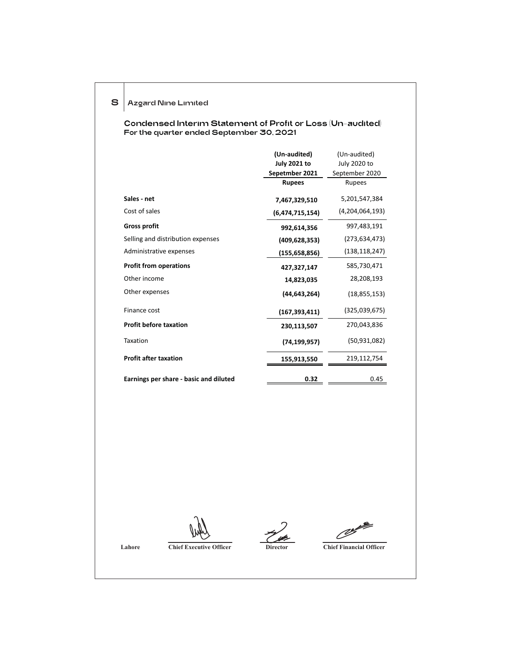## 8 Azgard Nine Limited

For the quarter ended September 30, 2021 Condensed Interim Statement of Profit or Loss (Un-audited)

|                                        | (Un-audited)        | (Un-audited)    |
|----------------------------------------|---------------------|-----------------|
|                                        | <b>July 2021 to</b> | July 2020 to    |
|                                        | Sepetmber 2021      | September 2020  |
|                                        | <b>Rupees</b>       | Rupees          |
| Sales - net                            | 7,467,329,510       | 5,201,547,384   |
| Cost of sales                          | (6,474,715,154)     | (4,204,064,193) |
| <b>Gross profit</b>                    | 992,614,356         | 997,483,191     |
| Selling and distribution expenses      | (409, 628, 353)     | (273,634,473)   |
| Administrative expenses                | (155,658,856)       | (138, 118, 247) |
| <b>Profit from operations</b>          | 427,327,147         | 585,730,471     |
| Other income                           | 14,823,035          | 28,208,193      |
| Other expenses                         | (44, 643, 264)      | (18, 855, 153)  |
| Finance cost                           | (167, 393, 411)     | (325,039,675)   |
| <b>Profit before taxation</b>          | 230,113,507         | 270,043,836     |
| Taxation                               | (74, 199, 957)      | (50, 931, 082)  |
| <b>Profit after taxation</b>           | 155,913,550         | 219,112,754     |
| Earnings per share - basic and diluted | 0.32                | 0.45            |

 $\mathscr{O}$ 

**Lahore Chief Executive Officer Director Director Chief Financial Officer**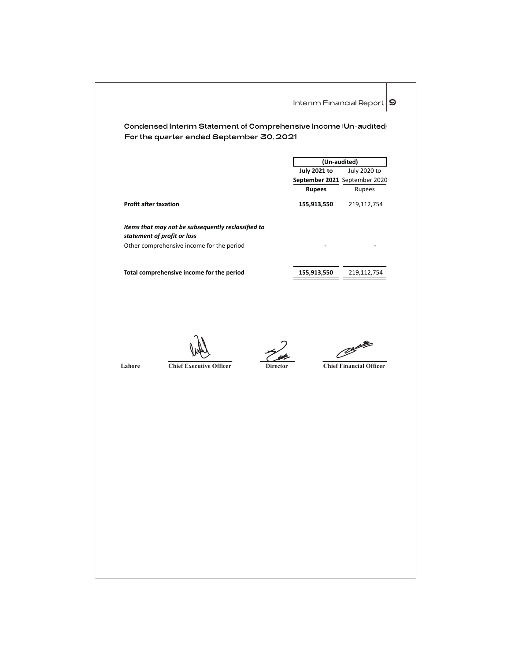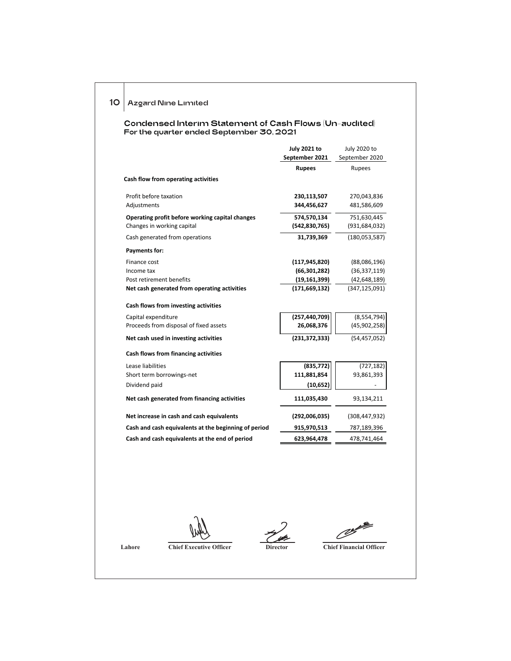10 | Azgard Nine Limited

For the quarter ended September 30, 2021 Condensed Interim Statement of Cash Flows (Un-audited)

|                                                      | <b>July 2021 to</b> | July 2020 to    |
|------------------------------------------------------|---------------------|-----------------|
|                                                      | September 2021      | September 2020  |
|                                                      | <b>Rupees</b>       | Rupees          |
| Cash flow from operating activities                  |                     |                 |
| Profit before taxation                               | 230,113,507         | 270,043,836     |
| Adjustments                                          | 344,456,627         | 481,586,609     |
| Operating profit before working capital changes      | 574,570,134         | 751,630,445     |
| Changes in working capital                           | (542, 830, 765)     | (931, 684, 032) |
| Cash generated from operations                       | 31,739,369          | (180, 053, 587) |
| <b>Payments for:</b>                                 |                     |                 |
| Finance cost                                         | (117, 945, 820)     | (88,086,196)    |
| Income tax                                           | (66, 301, 282)      | (36, 337, 119)  |
| Post retirement benefits                             | (19, 161, 399)      | (42, 648, 189)  |
| Net cash generated from operating activities         | (171, 669, 132)     | (347, 125, 091) |
| Cash flows from investing activities                 |                     |                 |
| Capital expenditure                                  | (257, 440, 709)     | (8,554,794)     |
| Proceeds from disposal of fixed assets               | 26,068,376          | (45,902,258)    |
| Net cash used in investing activities                | (231, 372, 333)     | (54, 457, 052)  |
| Cash flows from financing activities                 |                     |                 |
| Lease liabilities                                    | (835, 772)          | (727, 182)      |
| Short term borrowings-net                            | 111,881,854         | 93,861,393      |
| Dividend paid                                        | (10, 652)           |                 |
| Net cash generated from financing activities         | 111,035,430         | 93,134,211      |
| Net increase in cash and cash equivalents            | (292,006,035)       | (308, 447, 932) |
| Cash and cash equivalents at the beginning of period | 915,970,513         | 787,189,396     |
| Cash and cash equivalents at the end of period       | 623,964,478         | 478,741,464     |
|                                                      |                     |                 |

 $\mathscr{O}$ 

**Lahore Chief Executive Officer Director Director Chief Financial Officer**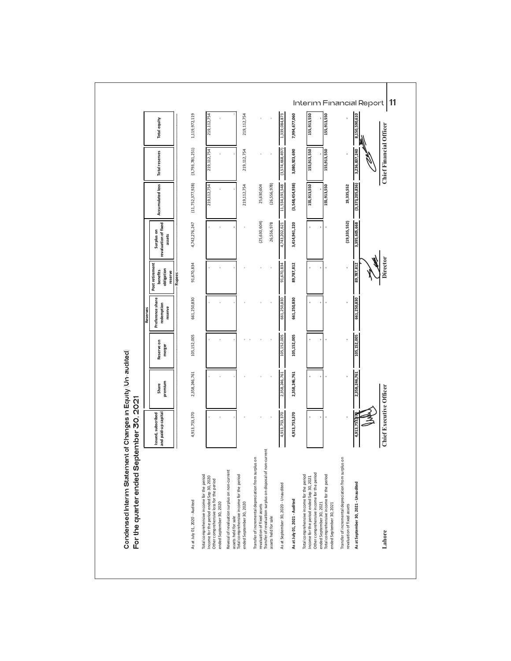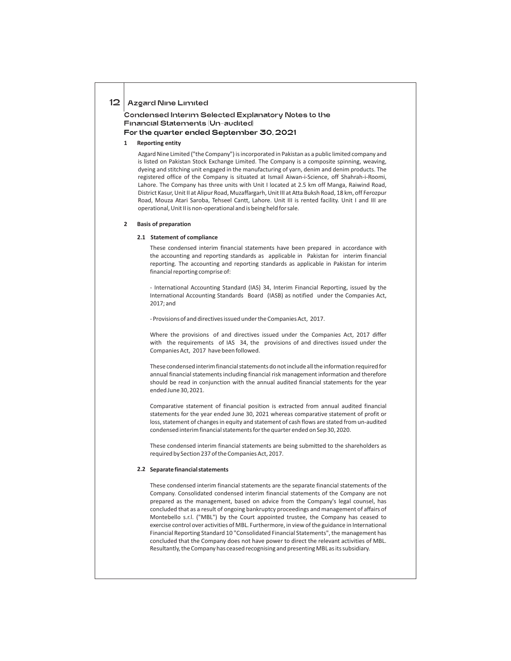#### 12 | Azgard Nine Limited

Condensed Interim Selected Explanatory Notes to the Financial Statements (Un-audited) For the quarter ended September 30, 2021

#### **1 Reporting entity**

Azgard Nine Limited ("the Company") is incorporated in Pakistan as a public limited company and is listed on Pakistan Stock Exchange Limited. The Company is a composite spinning, weaving, dyeing and stitching unit engaged in the manufacturing of yarn, denim and denim products. The registered office of the Company is situated at Ismail Aiwan-i-Science, off Shahrah-i-Roomi, Lahore. The Company has three units with Unit I located at 2.5 km off Manga, Raiwind Road, District Kasur, Unit II at Alipur Road, Muzaffargarh, Unit III at Atta Buksh Road, 18 km, off Ferozpur Road, Mouza Atari Saroba, Tehseel Cantt, Lahore. Unit III is rented facility. Unit I and III are operational, Unit II is non-operational and is being held for sale.

#### **Basis of preparation 2**

#### **2.1 Statement of compliance**

These condensed interim financial statements have been prepared in accordance with the accounting and reporting standards as applicable in Pakistan for interim financial reporting. The accounting and reporting standards as applicable in Pakistan for interim financial reporting comprise of:

- International Accounting Standard (IAS) 34, Interim Financial Reporting, issued by the International Accounting Standards Board (IASB) as notified under the Companies Act, 2017; and

- Provisions of and directives issued under the Companies Act, 2017.

Where the provisions of and directives issued under the Companies Act, 2017 differ with the requirements of IAS 34, the provisions of and directives issued under the Companies Act, 2017 have been followed.

These condensed interim financial statements do not include all the information required for annual financial statements including financial risk management information and therefore should be read in conjunction with the annual audited financial statements for the year ended June 30, 2021.

Comparative statement of financial position is extracted from annual audited financial statements for the year ended June 30, 2021 whereas comparative statement of profit or loss, statement of changes in equity and statement of cash flows are stated from un-audited condensed interim financial statements for the quarter ended on Sep 30, 2020.

These condensed interim financial statements are being submitted to the shareholders as required by Section 237 of the Companies Act, 2017.

#### **Separate financial statements 2.2**

These condensed interim financial statements are the separate financial statements of the Company. Consolidated condensed interim financial statements of the Company are not prepared as the management, based on advice from the Company's legal counsel, has concluded that as a result of ongoing bankruptcy proceedings and management of affairs of Montebello s.r.l. ("MBL") by the Court appointed trustee, the Company has ceased to exercise control over activities of MBL. Furthermore, in view of the guidance in International Financial Reporting Standard 10 "Consolidated Financial Statements", the management has concluded that the Company does not have power to direct the relevant activities of MBL. Resultantly, the Company has ceased recognising and presenting MBL as its subsidiary.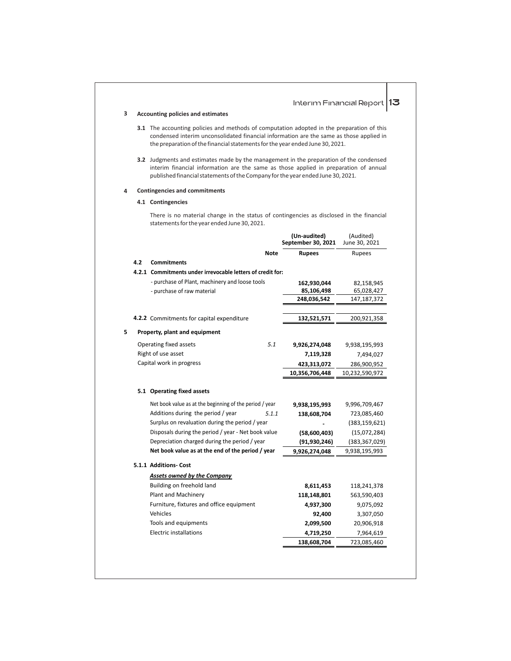The accounting policies and methods of computation adopted in the preparation of this **3.1** condensed interim unconsolidated financial information are the same as those applied in the preparation of the financial statements for the year ended June 30, 2021. **3.2** Judgments and estimates made by the management in the preparation of the condensed interim financial information are the same as those applied in preparation of annual published financial statements of the Company for the year ended June 30, 2021. There is no material change in the status of contingencies as disclosed in the financial statements for the year ended June 30, 2021. **Accounting policies and estimates 4 Contingencies and commitments 4.1 Contingencies** Interim Financial Report  $|13|$ **(Un-audited)** (Audited) September 30, 2021 **Note Rupees** Rupees **162,930,044**  82,158,945 **85,106,498** 65,028,427 **248,036,542** 147,187,372 **132,521,571** 200,921,358 *5.1* **9,926,274,048** 9,938,195,993 **7,119,328** 7,494,027 **423,313,072**  10,232,590,972 286,900,952 **10,356,706,448 9,938,195,993 (91,930,246)** (383,367,029) 9,996,709,467 *5.1.1* **138,608,704**  9,938,195,993 723,085,460 **-** (383,159,621) **(58,600,403)** (15,072,284) **9,926,274,048 8,611,453** 118,241,378 **118,148,801** 563,590,403 **4,937,300** 9,075,092 **92,400** 3,307,050 **2,099,500** 20,906,918 **4.2 Commitments 4.2.1 Commitments under irrevocable letters of credit for:** - purchase of Plant, machinery and loose tools - purchase of raw material **4.2.2** Commitments for capital expenditure **5 Property, plant and equipment** Operating fixed assets Right of use asset Capital work in progress **5.1 Operating fixed assets** Net book value as at the beginning of the period / year Additions during the period / year Surplus on revaluation during the period / year Disposals during the period / year - Net book value Depreciation charged during the period / year **Net book value as at the end of the period / year 5.1.1 Additions- Cost** *Assets owned by the Company* Building on freehold land Plant and Machinery Furniture, fixtures and office equipment Vehicles Tools and equipments Electric installations **4,719,250** 7,964,619

**138,608,704** 723,085,460

**3**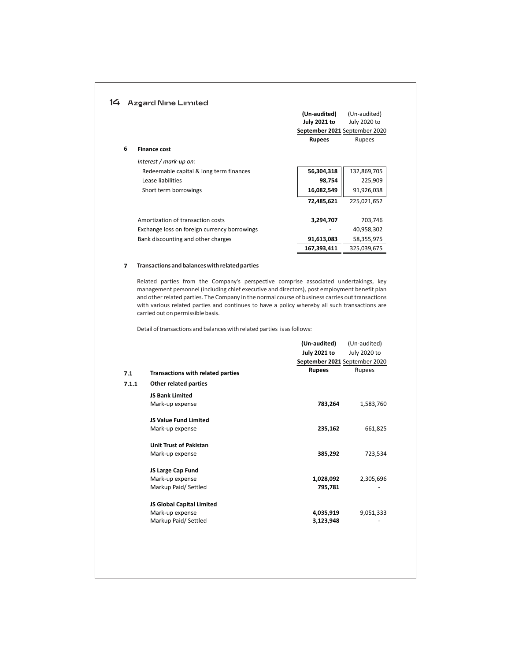|       | <b>Azgard Nine Limited</b>                                                                                                                                                                                                                                                                                                                                                                                                     |                                                                      |                              |
|-------|--------------------------------------------------------------------------------------------------------------------------------------------------------------------------------------------------------------------------------------------------------------------------------------------------------------------------------------------------------------------------------------------------------------------------------|----------------------------------------------------------------------|------------------------------|
|       |                                                                                                                                                                                                                                                                                                                                                                                                                                | (Un-audited)<br><b>July 2021 to</b><br>September 2021 September 2020 | (Un-audited)<br>July 2020 to |
|       |                                                                                                                                                                                                                                                                                                                                                                                                                                | <b>Rupees</b>                                                        | Rupees                       |
| 6     | <b>Finance cost</b>                                                                                                                                                                                                                                                                                                                                                                                                            |                                                                      |                              |
|       | Interest / mark-up on:                                                                                                                                                                                                                                                                                                                                                                                                         |                                                                      |                              |
|       | Redeemable capital & long term finances                                                                                                                                                                                                                                                                                                                                                                                        | 56,304,318                                                           | 132,869,705                  |
|       | Lease liabilities                                                                                                                                                                                                                                                                                                                                                                                                              | 98,754                                                               | 225,909                      |
|       | Short term borrowings                                                                                                                                                                                                                                                                                                                                                                                                          | 16,082,549                                                           | 91,926,038                   |
|       |                                                                                                                                                                                                                                                                                                                                                                                                                                | 72,485,621                                                           | 225,021,652                  |
|       | Amortization of transaction costs                                                                                                                                                                                                                                                                                                                                                                                              | 3,294,707                                                            | 703,746                      |
|       | Exchange loss on foreign currency borrowings                                                                                                                                                                                                                                                                                                                                                                                   |                                                                      | 40,958,302                   |
|       | Bank discounting and other charges                                                                                                                                                                                                                                                                                                                                                                                             | 91,613,083                                                           | 58,355,975                   |
|       |                                                                                                                                                                                                                                                                                                                                                                                                                                | 167,393,411                                                          | 325,039,675                  |
|       | Related parties from the Company's perspective comprise associated undertakings, key<br>management personnel (including chief executive and directors), post employment benefit plan<br>and other related parties. The Company in the normal course of business carries out transactions<br>with various related parties and continues to have a policy whereby all such transactions are<br>carried out on permissible basis. |                                                                      |                              |
|       | Detail of transactions and balances with related parties is as follows:                                                                                                                                                                                                                                                                                                                                                        |                                                                      |                              |
|       |                                                                                                                                                                                                                                                                                                                                                                                                                                | (Un-audited)<br><b>July 2021 to</b><br>September 2021 September 2020 | (Un-audited)<br>July 2020 to |
| 7.1   | <b>Transactions with related parties</b>                                                                                                                                                                                                                                                                                                                                                                                       | <b>Rupees</b>                                                        | Rupees                       |
| 7.1.1 |                                                                                                                                                                                                                                                                                                                                                                                                                                |                                                                      |                              |
|       |                                                                                                                                                                                                                                                                                                                                                                                                                                |                                                                      |                              |
|       | Other related parties                                                                                                                                                                                                                                                                                                                                                                                                          |                                                                      |                              |
|       | <b>JS Bank Limited</b><br>Mark-up expense                                                                                                                                                                                                                                                                                                                                                                                      | 783,264                                                              | 1,583,760                    |

Mark-up expense

**Unit Trust of Pakistan** Mark-up expense **JS Large Cap Fund** Mark-up expense Markup Paid/ Settled

**JS Global Capital Limited** Mark-up expense Markup Paid/ Settled

**235,162** 661,825

**385,292** 723,534

**1,028,092** 2,305,696 **795,781** -

**4,035,919** 9,051,333 **3,123,948** -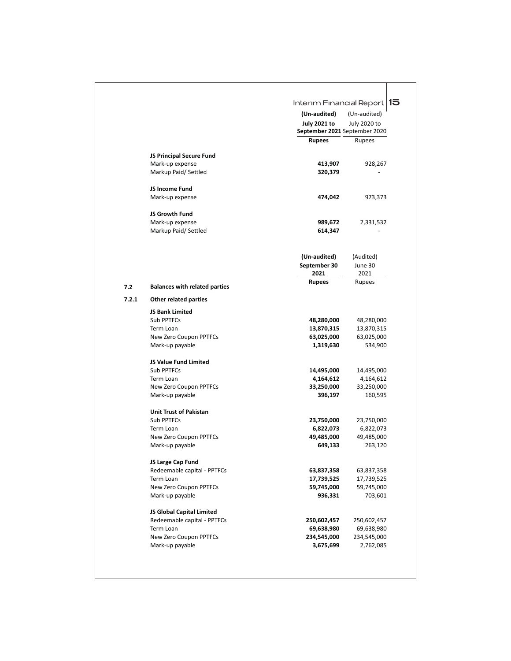|       |                                                          | Interim Financial Report                             | 115                       |
|-------|----------------------------------------------------------|------------------------------------------------------|---------------------------|
|       |                                                          | (Un-audited)                                         | (Un-audited)              |
|       |                                                          | <b>July 2021 to</b><br>September 2021 September 2020 | July 2020 to              |
|       |                                                          | <b>Rupees</b>                                        | Rupees                    |
|       | JS Principal Secure Fund                                 |                                                      |                           |
|       | Mark-up expense                                          | 413,907                                              | 928,267                   |
|       | Markup Paid/Settled                                      | 320,379                                              |                           |
|       | JS Income Fund                                           |                                                      |                           |
|       | Mark-up expense                                          | 474,042                                              | 973,373                   |
|       | JS Growth Fund                                           |                                                      |                           |
|       | Mark-up expense                                          | 989,672                                              | 2,331,532                 |
|       | Markup Paid/Settled                                      | 614,347                                              |                           |
|       |                                                          | (Un-audited)                                         | (Audited)                 |
|       |                                                          | September 30                                         | June 30                   |
|       |                                                          | 2021                                                 | 2021                      |
| 7.2   | <b>Balances with related parties</b>                     | <b>Rupees</b>                                        | Rupees                    |
| 7.2.1 | Other related parties                                    |                                                      |                           |
|       | <b>JS Bank Limited</b>                                   |                                                      |                           |
|       | Sub PPTFCs                                               | 48,280,000                                           | 48,280,000                |
|       | Term Loan                                                | 13,870,315                                           | 13,870,315                |
|       | New Zero Coupon PPTFCs                                   | 63,025,000                                           | 63,025,000                |
|       | Mark-up payable                                          | 1,319,630                                            | 534,900                   |
|       | <b>JS Value Fund Limited</b><br>Sub PPTFCs               | 14,495,000                                           | 14,495,000                |
|       | Term Loan                                                | 4,164,612                                            | 4,164,612                 |
|       | New Zero Coupon PPTFCs                                   | 33,250,000                                           | 33,250,000                |
|       | Mark-up payable                                          | 396,197                                              | 160,595                   |
|       | <b>Unit Trust of Pakistan</b>                            |                                                      |                           |
|       | Sub PPTFCs                                               | 23,750,000                                           | 23,750,000                |
|       | Term Loan                                                | 6,822,073                                            | 6,822,073                 |
|       | New Zero Coupon PPTFCs                                   | 49,485,000                                           | 49,485,000                |
|       | Mark-up payable                                          | 649,133                                              | 263,120                   |
|       | JS Large Cap Fund                                        |                                                      |                           |
|       | Redeemable capital - PPTFCs                              | 63,837,358                                           | 63,837,358                |
|       | Term Loan                                                | 17,739,525                                           | 17,739,525                |
|       | New Zero Coupon PPTFCs<br>Mark-up payable                | 59,745,000                                           | 59,745,000                |
|       |                                                          | 936,331                                              | 703,601                   |
|       | JS Global Capital Limited<br>Redeemable capital - PPTFCs |                                                      |                           |
|       |                                                          | 250,602,457                                          | 250,602,457               |
|       |                                                          |                                                      |                           |
|       | Term Loan<br>New Zero Coupon PPTFCs                      | 69,638,980<br>234,545,000                            | 69,638,980<br>234,545,000 |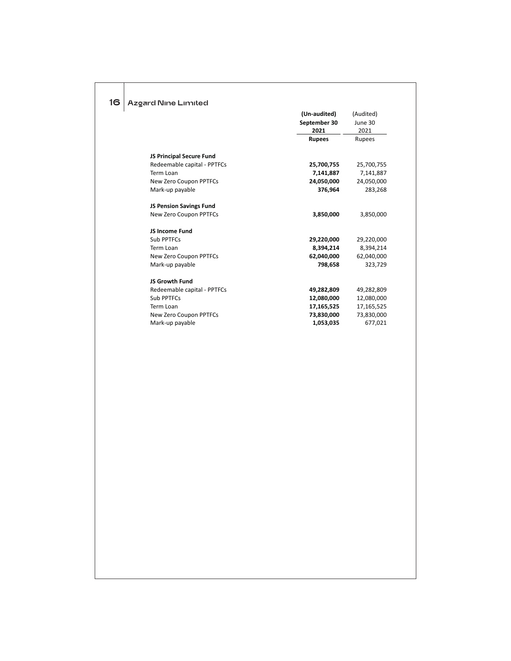| Azgard Nine Limited                                     | (Un-audited)            | (Audited)             |
|---------------------------------------------------------|-------------------------|-----------------------|
|                                                         | September 30            | June 30               |
|                                                         | 2021                    | 2021                  |
|                                                         | <b>Rupees</b>           | Rupees                |
|                                                         |                         |                       |
| JS Principal Secure Fund<br>Redeemable capital - PPTFCs | 25,700,755              | 25,700,755            |
| Term Loan                                               | 7,141,887               | 7,141,887             |
| New Zero Coupon PPTFCs                                  | 24,050,000              | 24,050,000            |
| Mark-up payable                                         | 376,964                 | 283,268               |
| JS Pension Savings Fund                                 |                         |                       |
| New Zero Coupon PPTFCs                                  | 3,850,000               | 3,850,000             |
| JS Income Fund                                          |                         |                       |
| Sub PPTFCs                                              | 29,220,000              | 29,220,000            |
| Term Loan                                               | 8,394,214               | 8,394,214             |
| New Zero Coupon PPTFCs                                  | 62,040,000              | 62,040,000            |
| Mark-up payable                                         | 798,658                 | 323,729               |
| JS Growth Fund                                          |                         |                       |
| Redeemable capital - PPTFCs                             | 49,282,809              | 49,282,809            |
| Sub PPTFCs                                              | 12,080,000              | 12,080,000            |
| Term Loan                                               | 17,165,525              | 17,165,525            |
| New Zero Coupon PPTFCs<br>Mark-up payable               | 73,830,000<br>1,053,035 | 73,830,000<br>677,021 |
|                                                         |                         |                       |
|                                                         |                         |                       |
|                                                         |                         |                       |
|                                                         |                         |                       |
|                                                         |                         |                       |
|                                                         |                         |                       |
|                                                         |                         |                       |
|                                                         |                         |                       |
|                                                         |                         |                       |
|                                                         |                         |                       |
|                                                         |                         |                       |
|                                                         |                         |                       |
|                                                         |                         |                       |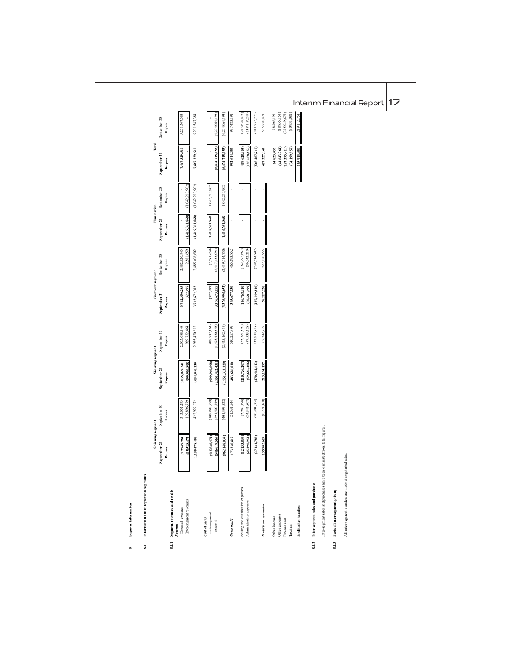| (2,419,714,750) | (1,042,210,902)    |
|-----------------|--------------------|
| (238, 534, 897) | (1,042,210,902)    |
| (182, 292, 687) | 1,042,210,902      |
| (56,242,210)    | 1,042,210,902      |
| 2,581,659       | September-20       |
| (2, 581, 659)   | Rupees             |
| (2,417,133,091) | Elimination        |
| 2,885,408,602   | (1, 415, 761, 868) |
| 227,158,955     | (1,415,761,868)    |
| 2,882,826,943   | 1,415,761,868      |
| 465,693,852     | 1,415,761,868      |
| September-20    | September-21       |
| Rupees          | Rupees             |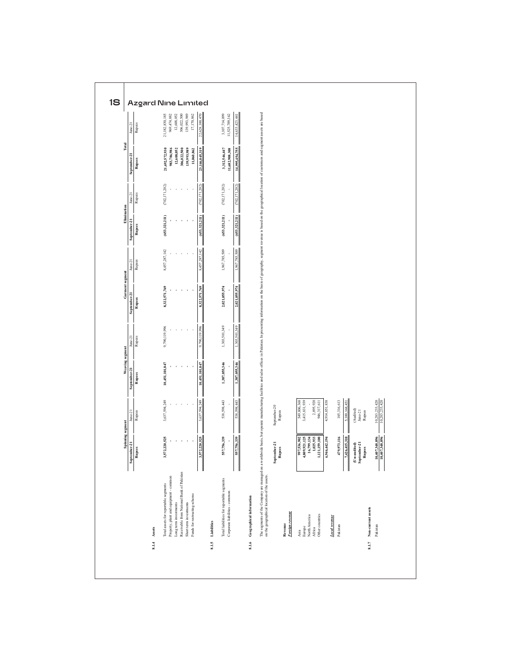|                                           | Spinning segment<br>September-21<br>Rupees   | Rupees<br>$J$ une- $21$          | Weaving segment<br>September-21<br>Rupees | Rupees<br>$J$ une- $21$ | Garment segment<br>September-21<br>Rupees | $_{\rm line-21}$<br>Rupees             | Elimination<br>September-21<br>Rupees | Rupees<br>$June-21$ | September-2<br>Rupees           | Total |
|-------------------------------------------|----------------------------------------------|----------------------------------|-------------------------------------------|-------------------------|-------------------------------------------|----------------------------------------|---------------------------------------|---------------------|---------------------------------|-------|
|                                           |                                              |                                  |                                           |                         |                                           |                                        |                                       |                     |                                 |       |
|                                           | 3,572,220,525                                | 3,637,594,249                    | 10,451,101,847                            | 9,790,119,996           | 8,322,571,769                             | 8,457,287,142                          | (653,321,211)                         | (702, 171, 202)     | 21,692,572,930                  |       |
| Property, plant and equipment - common    |                                              |                                  |                                           |                         |                                           |                                        |                                       |                     | 983,786,986<br>12,608,052       |       |
| Receivable from National Bank of Pakistan |                                              |                                  |                                           |                         |                                           |                                        |                                       |                     | 306,022,500                     |       |
|                                           |                                              |                                  |                                           |                         |                                           |                                        |                                       |                     | 139,993,989                     |       |
|                                           |                                              |                                  |                                           |                         |                                           |                                        |                                       |                     | 11,060,862                      |       |
|                                           | 3,572,220,525                                | 637,594,249                      | 10,451,101,847                            | 9,790,119,996           | 8,322,571,769                             | ;287,142<br>8,457                      | (653,321,211)                         | 1,202<br>(702, 171) | 23,146,045,319                  |       |
|                                           |                                              |                                  |                                           |                         |                                           |                                        |                                       |                     |                                 |       |
| Total liabilities for reportable segments | 557,756,339                                  | 538,598,443                      | 1,387,055,346                             | 1,303,501,349           | 2,021,055,974                             | 1,967,785,509                          | (653,321,211)                         | (702, 171, 202)     | 3,312,546,447<br>11,682,908,308 |       |
|                                           | 557,756,339                                  | 538,598,443                      | 1,387,055,346                             | 303,501,549             | 2,021,055,974                             | 785,509<br>$\mathcal{S}^{\mathcal{C}}$ | (653,321,211)                         | (702, 171, 202)     | 14,995,454,755                  |       |
|                                           | September-21<br>Rupes                        | $September-20$<br>Rupees         |                                           |                         |                                           |                                        |                                       |                     |                                 |       |
|                                           |                                              |                                  |                                           |                         |                                           |                                        |                                       |                     |                                 |       |
|                                           | 997,536,902<br>4,809,921,125<br>16,799,134   | 549,806,368<br>3,415,831,939     |                                           |                         |                                           |                                        |                                       |                     |                                 |       |
|                                           | 1,025,933<br>1,121,159,100                   | 2,895,920<br>946,317,611         |                                           |                         |                                           |                                        |                                       |                     |                                 |       |
|                                           | 6,946,442,194                                | 4,914,851,838                    |                                           |                         |                                           |                                        |                                       |                     |                                 |       |
|                                           | 479,973,116                                  | 185,316,613                      |                                           |                         |                                           |                                        |                                       |                     |                                 |       |
|                                           | 7,426,415,310                                | 5,100,168.45                     |                                           |                         |                                           |                                        |                                       |                     |                                 |       |
|                                           |                                              | (Audited)                        |                                           |                         |                                           |                                        |                                       |                     |                                 |       |
|                                           | $\frac{(Un-audited)}{Stepenber-21}$<br>Rupes | $_{\rm June-21}$<br>Rupees       |                                           |                         |                                           |                                        |                                       |                     |                                 |       |
|                                           |                                              |                                  |                                           |                         |                                           |                                        |                                       |                     |                                 |       |
|                                           | 10,407,348,896<br>10,407,348,896             | 10,283,233,420<br>10,283,233,420 |                                           |                         |                                           |                                        |                                       |                     |                                 |       |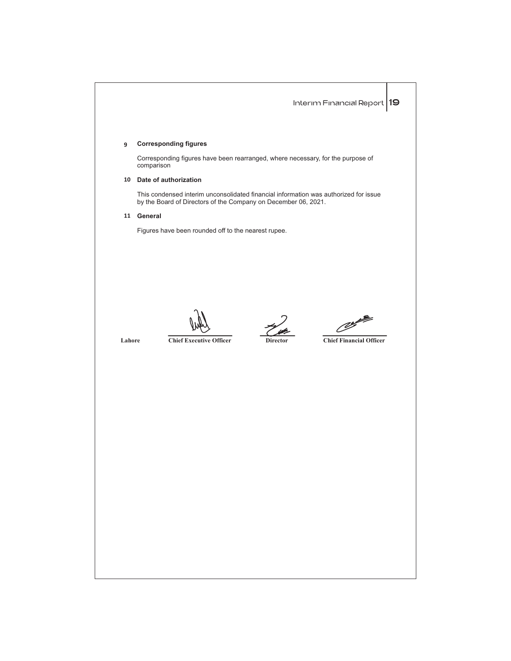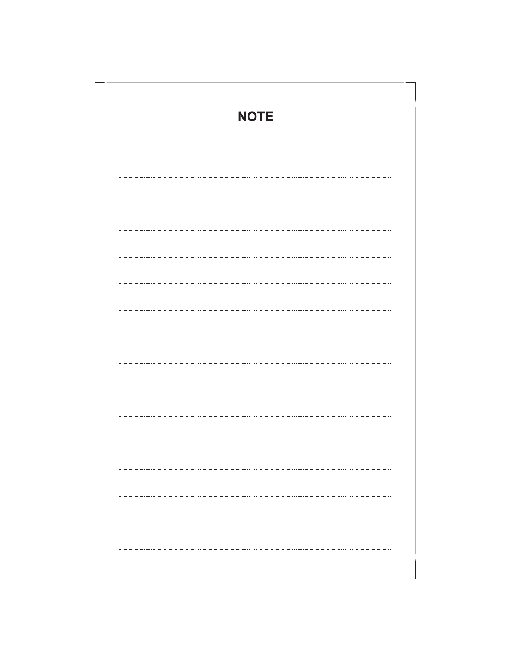| <b>NOTE</b> |  |
|-------------|--|
|             |  |
|             |  |
|             |  |
|             |  |
|             |  |
|             |  |
|             |  |
|             |  |
|             |  |
|             |  |
|             |  |
|             |  |
|             |  |